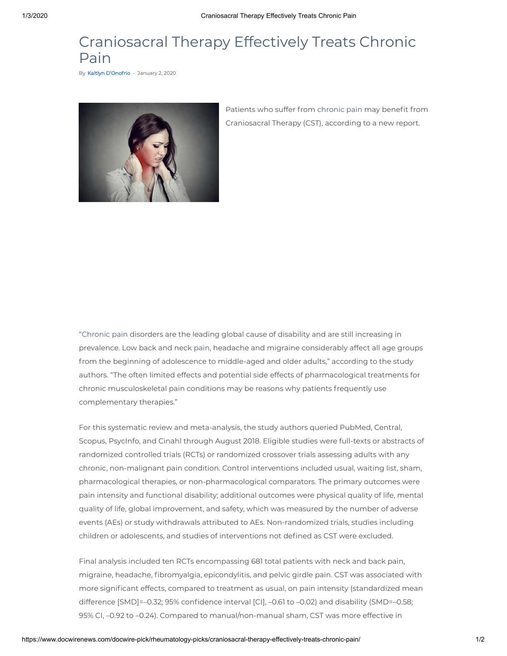## Craniosacral Therapy Effectively Treats Chronic Pain

By Kaitlyn [D'Onofrio](https://www.docwirenews.com/author/kdonofrio/) - January 2, 2020



Patients who suffer from [chronic](https://www.docwirenews.com/condition-center/orthopedicscc/orthopedics-center-picks/yoga-and-pt-improve-sleep-quality-in-chronic-low-back-pain-sufferers/) pain may benefit from Craniosacral Therapy (CST), according to a new report.

"[Chronic](https://www.docwirenews.com/docwire-pick/rheumatology-picks/newhope-for-chronicpain/) pain disorders are the leading global cause of disability and are still increasing in prevalence. Low back and neck [pain](https://www.docwirenews.com/docwire-pick/rheumatology-picks/adults-persistent-back-pain/), headache and migraine considerably affect all age groups from the beginning of adolescence to middle-aged and older adults," according to the study authors. "The often limited effects and potential side effects of pharmacological treatments for chronic musculoskeletal pain conditions may be reasons why patients frequently use complementary therapies."

For this systematic review and meta-analysis, the study authors queried PubMed, Central, Scopus, PsycInfo, and Cinahl through August 2018. Eligible studies were full-texts or abstracts of randomized controlled trials (RCTs) or randomized crossover trials assessing adults with any chronic, non-malignant pain condition. Control interventions included usual, waiting list, sham, pharmacological therapies, or non-pharmacological comparators. The primary outcomes were pain intensity and functional disability; additional outcomes were physical quality of life, mental quality of life, global improvement, and safety, which was measured by the number of adverse events (AEs) or study withdrawals attributed to AEs. Non-randomized trials, studies including children or adolescents, and studies of interventions not defined as CST were excluded.

Final analysis included ten RCTs encompassing 681 total patients with neck and back pain, migraine, headache, fibromyalgia, epicondylitis, and pelvic girdle pain. CST was associated with more significant effects, compared to treatment as usual, on pain intensity (standardized mean difference [SMD]=-0.32; 95% confidence interval [CI], -0.61 to -0.02) and disability (SMD=-0.58; 95% CI, –0.92 to –0.24). Compared to manual/non-manual sham, CST was more effective in